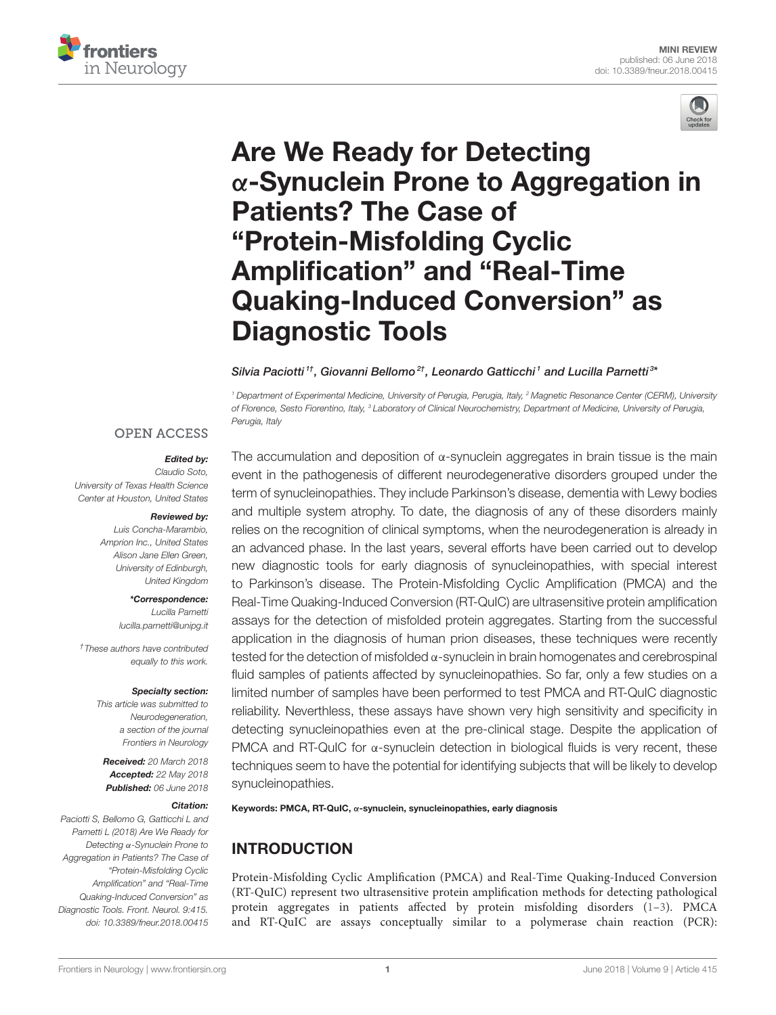



# Are We Ready for Detecting α[-Synuclein Prone to Aggregation in](https://www.frontiersin.org/articles/10.3389/fneur.2018.00415/full) Patients? The Case of "Protein-Misfolding Cyclic Amplification" and "Real-Time Quaking-Induced Conversion" as Diagnostic Tools

#### [Silvia Paciotti](http://loop.frontiersin.org/people/541486/overview)<sup>1†</sup>, [Giovanni Bellomo](http://loop.frontiersin.org/people/541603/overview)<sup>2†</sup>, [Leonardo Gatticchi](http://loop.frontiersin.org/people/219109/overview)<sup>1</sup> and [Lucilla Parnetti](http://loop.frontiersin.org/people/47910/overview)<sup>3</sup>\*

*<sup>1</sup> Department of Experimental Medicine, University of Perugia, Perugia, Italy, <sup>2</sup> Magnetic Resonance Center (CERM), University of Florence, Sesto Fiorentino, Italy, <sup>3</sup> Laboratory of Clinical Neurochemistry, Department of Medicine, University of Perugia, Perugia, Italy*

### **OPEN ACCESS**

## Edited by:

#### *Claudio Soto,*

*University of Texas Health Science Center at Houston, United States*

#### Reviewed by:

*Luis Concha-Marambio, Amprion Inc., United States Alison Jane Ellen Green, University of Edinburgh, United Kingdom*

> \*Correspondence: *Lucilla Parnetti [lucilla.parnetti@unipg.it](mailto:lucilla.parnetti@unipg.it)*

*†These authors have contributed equally to this work.*

#### Specialty section:

*This article was submitted to Neurodegeneration, a section of the journal Frontiers in Neurology*

Received: *20 March 2018* Accepted: *22 May 2018* Published: *06 June 2018*

#### Citation:

*Paciotti S, Bellomo G, Gatticchi L and Parnetti L (2018) Are We Ready for Detecting* α*-Synuclein Prone to Aggregation in Patients? The Case of "Protein-Misfolding Cyclic Amplification" and "Real-Time Quaking-Induced Conversion" as Diagnostic Tools. Front. Neurol. 9:415. doi: [10.3389/fneur.2018.00415](https://doi.org/10.3389/fneur.2018.00415)*

The accumulation and deposition of  $\alpha$ -synuclein aggregates in brain tissue is the main event in the pathogenesis of different neurodegenerative disorders grouped under the term of synucleinopathies. They include Parkinson's disease, dementia with Lewy bodies and multiple system atrophy. To date, the diagnosis of any of these disorders mainly relies on the recognition of clinical symptoms, when the neurodegeneration is already in an advanced phase. In the last years, several efforts have been carried out to develop new diagnostic tools for early diagnosis of synucleinopathies, with special interest to Parkinson's disease. The Protein-Misfolding Cyclic Amplification (PMCA) and the Real-Time Quaking-Induced Conversion (RT-QuIC) are ultrasensitive protein amplification assays for the detection of misfolded protein aggregates. Starting from the successful application in the diagnosis of human prion diseases, these techniques were recently tested for the detection of misfolded α-synuclein in brain homogenates and cerebrospinal fluid samples of patients affected by synucleinopathies. So far, only a few studies on a limited number of samples have been performed to test PMCA and RT-QuIC diagnostic reliability. Neverthless, these assays have shown very high sensitivity and specificity in detecting synucleinopathies even at the pre-clinical stage. Despite the application of PMCA and RT-QuIC for α-synuclein detection in biological fluids is very recent, these techniques seem to have the potential for identifying subjects that will be likely to develop synucleinopathies.

Keywords: PMCA, RT-QuIC, α-synuclein, synucleinopathies, early diagnosis

# INTRODUCTION

Protein-Misfolding Cyclic Amplification (PMCA) and Real-Time Quaking-Induced Conversion (RT-QuIC) represent two ultrasensitive protein amplification methods for detecting pathological protein aggregates in patients affected by protein misfolding disorders [\(1](#page-5-0)[–3\)](#page-5-1). PMCA and RT-QuIC are assays conceptually similar to a polymerase chain reaction (PCR):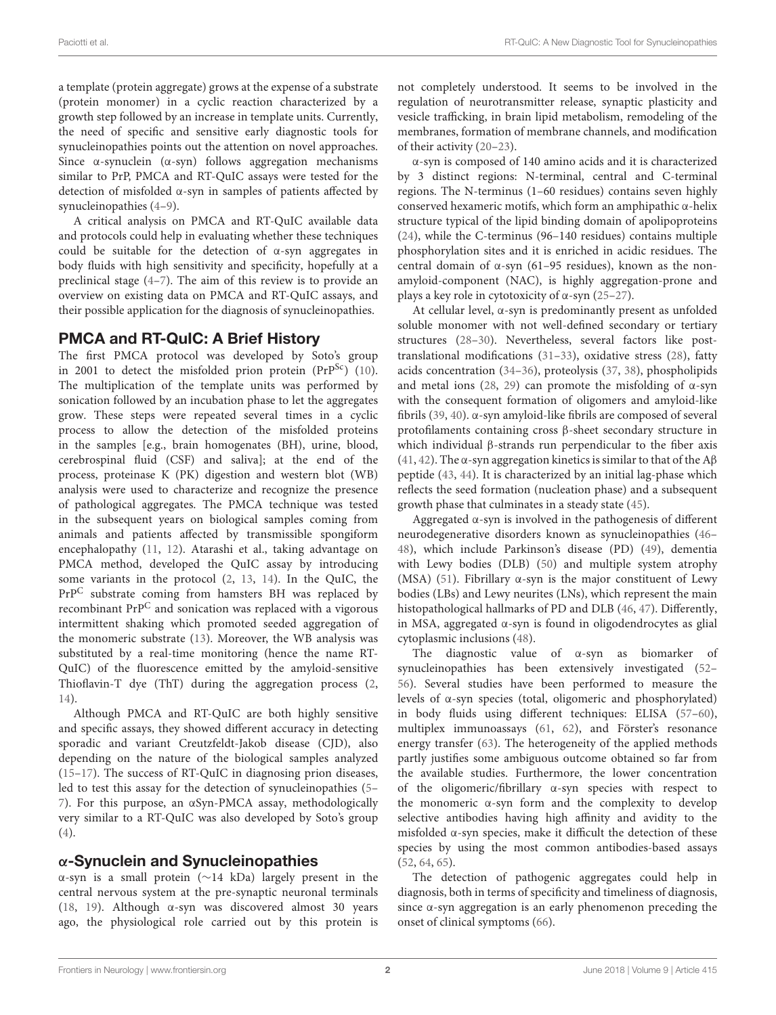a template (protein aggregate) grows at the expense of a substrate (protein monomer) in a cyclic reaction characterized by a growth step followed by an increase in template units. Currently, the need of specific and sensitive early diagnostic tools for synucleinopathies points out the attention on novel approaches. Since  $\alpha$ -synuclein ( $\alpha$ -syn) follows aggregation mechanisms similar to PrP, PMCA and RT-QuIC assays were tested for the detection of misfolded α-syn in samples of patients affected by synucleinopathies [\(4–](#page-5-2)[9\)](#page-6-0).

A critical analysis on PMCA and RT-QuIC available data and protocols could help in evaluating whether these techniques could be suitable for the detection of  $\alpha$ -syn aggregates in body fluids with high sensitivity and specificity, hopefully at a preclinical stage [\(4–](#page-5-2)[7\)](#page-6-1). The aim of this review is to provide an overview on existing data on PMCA and RT-QuIC assays, and their possible application for the diagnosis of synucleinopathies.

## PMCA and RT-QuIC: A Brief History

The first PMCA protocol was developed by Soto's group in 2001 to detect the misfolded prion protein  $(PrP^{Sc})$  [\(10\)](#page-6-2). The multiplication of the template units was performed by sonication followed by an incubation phase to let the aggregates grow. These steps were repeated several times in a cyclic process to allow the detection of the misfolded proteins in the samples [e.g., brain homogenates (BH), urine, blood, cerebrospinal fluid (CSF) and saliva]; at the end of the process, proteinase K (PK) digestion and western blot (WB) analysis were used to characterize and recognize the presence of pathological aggregates. The PMCA technique was tested in the subsequent years on biological samples coming from animals and patients affected by transmissible spongiform encephalopathy [\(11,](#page-6-3) [12\)](#page-6-4). Atarashi et al., taking advantage on PMCA method, developed the QuIC assay by introducing some variants in the protocol [\(2,](#page-5-3) [13,](#page-6-5) [14\)](#page-6-6). In the QuIC, the PrP<sup>C</sup> substrate coming from hamsters BH was replaced by recombinant PrP<sup>C</sup> and sonication was replaced with a vigorous intermittent shaking which promoted seeded aggregation of the monomeric substrate [\(13\)](#page-6-5). Moreover, the WB analysis was substituted by a real-time monitoring (hence the name RT-QuIC) of the fluorescence emitted by the amyloid-sensitive Thioflavin-T dye (ThT) during the aggregation process [\(2,](#page-5-3) [14\)](#page-6-6).

Although PMCA and RT-QuIC are both highly sensitive and specific assays, they showed different accuracy in detecting sporadic and variant Creutzfeldt-Jakob disease (CJD), also depending on the nature of the biological samples analyzed [\(15](#page-6-7)[–17\)](#page-6-8). The success of RT-QuIC in diagnosing prion diseases, led to test this assay for the detection of synucleinopathies [\(5–](#page-6-9) [7\)](#page-6-1). For this purpose, an αSyn-PMCA assay, methodologically very similar to a RT-QuIC was also developed by Soto's group [\(4\)](#page-5-2).

# α-Synuclein and Synucleinopathies

α-syn is a small protein (∼14 kDa) largely present in the central nervous system at the pre-synaptic neuronal terminals [\(18,](#page-6-10) [19\)](#page-6-11). Although α-syn was discovered almost 30 years ago, the physiological role carried out by this protein is not completely understood. It seems to be involved in the regulation of neurotransmitter release, synaptic plasticity and vesicle trafficking, in brain lipid metabolism, remodeling of the membranes, formation of membrane channels, and modification of their activity [\(20](#page-6-12)[–23\)](#page-6-13).

α-syn is composed of 140 amino acids and it is characterized by 3 distinct regions: N-terminal, central and C-terminal regions. The N-terminus (1–60 residues) contains seven highly conserved hexameric motifs, which form an amphipathic α-helix structure typical of the lipid binding domain of apolipoproteins [\(24\)](#page-6-14), while the C-terminus (96–140 residues) contains multiple phosphorylation sites and it is enriched in acidic residues. The central domain of α-syn (61–95 residues), known as the nonamyloid-component (NAC), is highly aggregation-prone and plays a key role in cytotoxicity of  $\alpha$ -syn [\(25](#page-6-15)[–27\)](#page-6-16).

At cellular level, α-syn is predominantly present as unfolded soluble monomer with not well-defined secondary or tertiary structures [\(28–](#page-6-17)[30\)](#page-6-18). Nevertheless, several factors like posttranslational modifications [\(31](#page-6-19)[–33\)](#page-6-20), oxidative stress [\(28\)](#page-6-17), fatty acids concentration [\(34](#page-6-21)[–36\)](#page-6-22), proteolysis [\(37,](#page-6-23) [38\)](#page-6-24), phospholipids and metal ions [\(28,](#page-6-17) [29\)](#page-6-25) can promote the misfolding of  $\alpha$ -syn with the consequent formation of oligomers and amyloid-like fibrils [\(39,](#page-6-26) [40\)](#page-6-27). α-syn amyloid-like fibrils are composed of several protofilaments containing cross β-sheet secondary structure in which individual β-strands run perpendicular to the fiber axis [\(41,](#page-6-28) [42\)](#page-6-29). The  $\alpha$ -syn aggregation kinetics is similar to that of the A $\beta$ peptide [\(43,](#page-7-0) [44\)](#page-7-1). It is characterized by an initial lag-phase which reflects the seed formation (nucleation phase) and a subsequent growth phase that culminates in a steady state [\(45\)](#page-7-2).

Aggregated α-syn is involved in the pathogenesis of different neurodegenerative disorders known as synucleinopathies [\(46–](#page-7-3) [48\)](#page-7-4), which include Parkinson's disease (PD) [\(49\)](#page-7-5), dementia with Lewy bodies (DLB) [\(50\)](#page-7-6) and multiple system atrophy (MSA) [\(51\)](#page-7-7). Fibrillary  $\alpha$ -syn is the major constituent of Lewy bodies (LBs) and Lewy neurites (LNs), which represent the main histopathological hallmarks of PD and DLB [\(46,](#page-7-3) [47\)](#page-7-8). Differently, in MSA, aggregated α-syn is found in oligodendrocytes as glial cytoplasmic inclusions [\(48\)](#page-7-4).

The diagnostic value of α-syn as biomarker of synucleinopathies has been extensively investigated [\(52–](#page-7-9) [56\)](#page-7-10). Several studies have been performed to measure the levels of α-syn species (total, oligomeric and phosphorylated) in body fluids using different techniques: ELISA [\(57–](#page-7-11)[60\)](#page-7-12), multiplex immunoassays [\(61,](#page-7-13) [62\)](#page-7-14), and Förster's resonance energy transfer [\(63\)](#page-7-15). The heterogeneity of the applied methods partly justifies some ambiguous outcome obtained so far from the available studies. Furthermore, the lower concentration of the oligomeric/fibrillary α-syn species with respect to the monomeric α-syn form and the complexity to develop selective antibodies having high affinity and avidity to the misfolded α-syn species, make it difficult the detection of these species by using the most common antibodies-based assays [\(52,](#page-7-9) [64,](#page-7-16) [65\)](#page-7-17).

The detection of pathogenic aggregates could help in diagnosis, both in terms of specificity and timeliness of diagnosis, since α-syn aggregation is an early phenomenon preceding the onset of clinical symptoms [\(66\)](#page-7-18).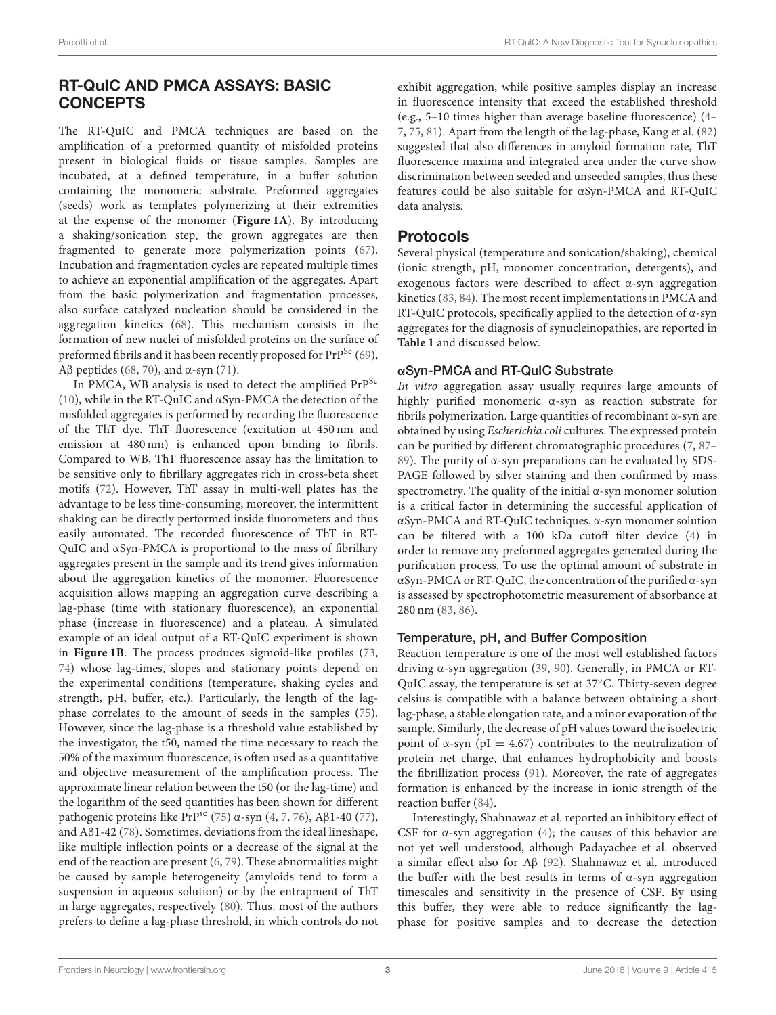# RT-QuIC AND PMCA ASSAYS: BASIC **CONCEPTS**

The RT-QuIC and PMCA techniques are based on the amplification of a preformed quantity of misfolded proteins present in biological fluids or tissue samples. Samples are incubated, at a defined temperature, in a buffer solution containing the monomeric substrate. Preformed aggregates (seeds) work as templates polymerizing at their extremities at the expense of the monomer (**[Figure 1A](#page-3-0)**). By introducing a shaking/sonication step, the grown aggregates are then fragmented to generate more polymerization points [\(67\)](#page-7-19). Incubation and fragmentation cycles are repeated multiple times to achieve an exponential amplification of the aggregates. Apart from the basic polymerization and fragmentation processes, also surface catalyzed nucleation should be considered in the aggregation kinetics [\(68\)](#page-7-20). This mechanism consists in the formation of new nuclei of misfolded proteins on the surface of preformed fibrils and it has been recently proposed for  $PrP^{Sc}$  [\(69\)](#page-7-21), Aβ peptides [\(68,](#page-7-20) [70\)](#page-7-22), and  $α$ -syn [\(71\)](#page-7-23).

In PMCA, WB analysis is used to detect the amplified PrP<sup>Sc</sup> [\(10\)](#page-6-2), while in the RT-QuIC and αSyn-PMCA the detection of the misfolded aggregates is performed by recording the fluorescence of the ThT dye. ThT fluorescence (excitation at 450 nm and emission at 480 nm) is enhanced upon binding to fibrils. Compared to WB, ThT fluorescence assay has the limitation to be sensitive only to fibrillary aggregates rich in cross-beta sheet motifs [\(72\)](#page-7-24). However, ThT assay in multi-well plates has the advantage to be less time-consuming; moreover, the intermittent shaking can be directly performed inside fluorometers and thus easily automated. The recorded fluorescence of ThT in RT-QuIC and αSyn-PMCA is proportional to the mass of fibrillary aggregates present in the sample and its trend gives information about the aggregation kinetics of the monomer. Fluorescence acquisition allows mapping an aggregation curve describing a lag-phase (time with stationary fluorescence), an exponential phase (increase in fluorescence) and a plateau. A simulated example of an ideal output of a RT-QuIC experiment is shown in **[Figure 1B](#page-3-0)**. The process produces sigmoid-like profiles [\(73,](#page-7-25) [74\)](#page-7-26) whose lag-times, slopes and stationary points depend on the experimental conditions (temperature, shaking cycles and strength, pH, buffer, etc.). Particularly, the length of the lagphase correlates to the amount of seeds in the samples [\(75\)](#page-7-27). However, since the lag-phase is a threshold value established by the investigator, the t50, named the time necessary to reach the 50% of the maximum fluorescence, is often used as a quantitative and objective measurement of the amplification process. The approximate linear relation between the t50 (or the lag-time) and the logarithm of the seed quantities has been shown for different pathogenic proteins like PrP<sup>sc</sup> [\(75\)](#page-7-27) α-syn [\(4,](#page-5-2) [7,](#page-6-1) [76\)](#page-7-28), Aβ1-40 [\(77\)](#page-7-29), and Aβ1-42 [\(78\)](#page-7-30). Sometimes, deviations from the ideal lineshape, like multiple inflection points or a decrease of the signal at the end of the reaction are present [\(6,](#page-6-30) [79\)](#page-7-31). These abnormalities might be caused by sample heterogeneity (amyloids tend to form a suspension in aqueous solution) or by the entrapment of ThT in large aggregates, respectively [\(80\)](#page-7-32). Thus, most of the authors prefers to define a lag-phase threshold, in which controls do not exhibit aggregation, while positive samples display an increase in fluorescence intensity that exceed the established threshold (e.g., 5–10 times higher than average baseline fluorescence) [\(4–](#page-5-2) [7,](#page-6-1) [75,](#page-7-27) [81\)](#page-7-33). Apart from the length of the lag-phase, Kang et al. [\(82\)](#page-7-34) suggested that also differences in amyloid formation rate, ThT fluorescence maxima and integrated area under the curve show discrimination between seeded and unseeded samples, thus these features could be also suitable for αSyn-PMCA and RT-QuIC data analysis.

# Protocols

Several physical (temperature and sonication/shaking), chemical (ionic strength, pH, monomer concentration, detergents), and exogenous factors were described to affect α-syn aggregation kinetics [\(83,](#page-7-35) [84\)](#page-8-0). The most recent implementations in PMCA and RT-QuIC protocols, specifically applied to the detection of α-syn aggregates for the diagnosis of synucleinopathies, are reported in **[Table 1](#page-4-0)** and discussed below.

# αSyn-PMCA and RT-QuIC Substrate

In vitro aggregation assay usually requires large amounts of highly purified monomeric α-syn as reaction substrate for fibrils polymerization. Large quantities of recombinant α-syn are obtained by using Escherichia coli cultures. The expressed protein can be purified by different chromatographic procedures [\(7,](#page-6-1) [87–](#page-8-1) [89\)](#page-8-2). The purity of α-syn preparations can be evaluated by SDS-PAGE followed by silver staining and then confirmed by mass spectrometry. The quality of the initial α-syn monomer solution is a critical factor in determining the successful application of αSyn-PMCA and RT-QuIC techniques. α-syn monomer solution can be filtered with a 100 kDa cutoff filter device [\(4\)](#page-5-2) in order to remove any preformed aggregates generated during the purification process. To use the optimal amount of substrate in αSyn-PMCA or RT-QuIC, the concentration of the purified α-syn is assessed by spectrophotometric measurement of absorbance at 280 nm [\(83,](#page-7-35) [86\)](#page-8-3).

## Temperature, pH, and Buffer Composition

Reaction temperature is one of the most well established factors driving α-syn aggregation [\(39,](#page-6-26) [90\)](#page-8-4). Generally, in PMCA or RT-QuIC assay, the temperature is set at 37◦C. Thirty-seven degree celsius is compatible with a balance between obtaining a short lag-phase, a stable elongation rate, and a minor evaporation of the sample. Similarly, the decrease of pH values toward the isoelectric point of α-syn ( $pI = 4.67$ ) contributes to the neutralization of protein net charge, that enhances hydrophobicity and boosts the fibrillization process [\(91\)](#page-8-5). Moreover, the rate of aggregates formation is enhanced by the increase in ionic strength of the reaction buffer [\(84\)](#page-8-0).

Interestingly, Shahnawaz et al. reported an inhibitory effect of CSF for  $\alpha$ -syn aggregation [\(4\)](#page-5-2); the causes of this behavior are not yet well understood, although Padayachee et al. observed a similar effect also for Aβ [\(92\)](#page-8-6). Shahnawaz et al. introduced the buffer with the best results in terms of  $\alpha$ -syn aggregation timescales and sensitivity in the presence of CSF. By using this buffer, they were able to reduce significantly the lagphase for positive samples and to decrease the detection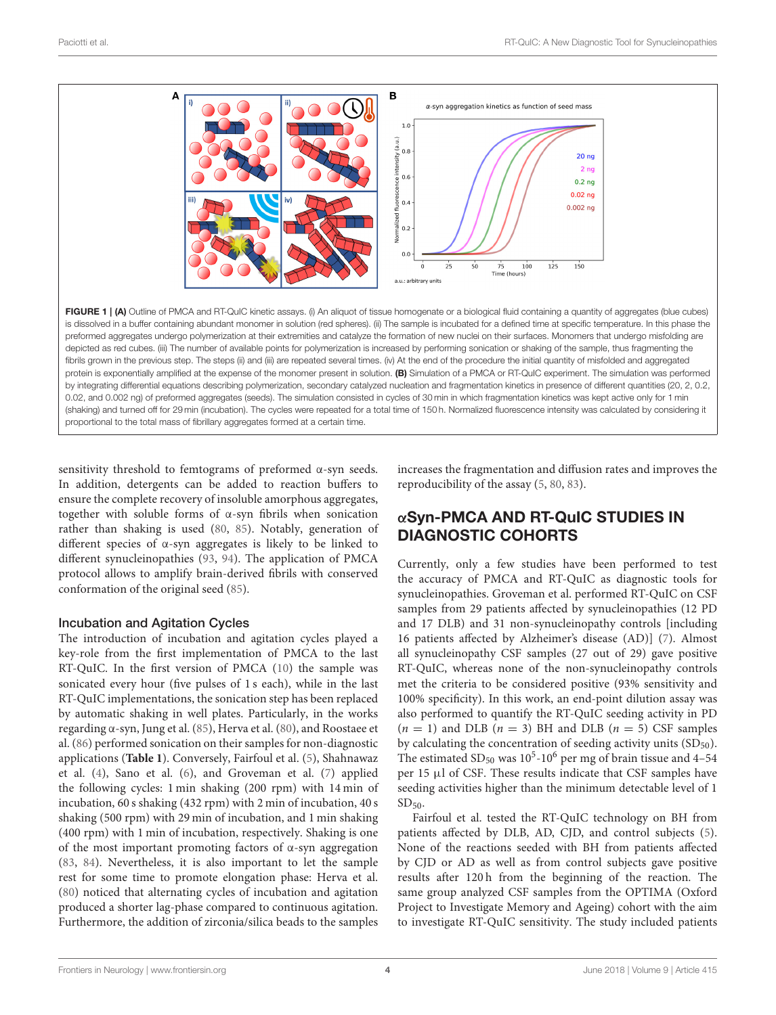

<span id="page-3-0"></span>sensitivity threshold to femtograms of preformed α-syn seeds. In addition, detergents can be added to reaction buffers to ensure the complete recovery of insoluble amorphous aggregates, together with soluble forms of α-syn fibrils when sonication rather than shaking is used [\(80,](#page-7-32) [85\)](#page-8-7). Notably, generation of different species of α-syn aggregates is likely to be linked to different synucleinopathies [\(93,](#page-8-8) [94\)](#page-8-9). The application of PMCA protocol allows to amplify brain-derived fibrils with conserved conformation of the original seed [\(85\)](#page-8-7).

## Incubation and Agitation Cycles

The introduction of incubation and agitation cycles played a key-role from the first implementation of PMCA to the last RT-QuIC. In the first version of PMCA [\(10\)](#page-6-2) the sample was sonicated every hour (five pulses of 1 s each), while in the last RT-QuIC implementations, the sonication step has been replaced by automatic shaking in well plates. Particularly, in the works regarding α-syn, Jung et al. [\(85\)](#page-8-7), Herva et al. [\(80\)](#page-7-32), and Roostaee et al. [\(86\)](#page-8-3) performed sonication on their samples for non-diagnostic applications (**[Table 1](#page-4-0)**). Conversely, Fairfoul et al. [\(5\)](#page-6-9), Shahnawaz et al. [\(4\)](#page-5-2), Sano et al. [\(6\)](#page-6-30), and Groveman et al. [\(7\)](#page-6-1) applied the following cycles: 1 min shaking (200 rpm) with 14 min of incubation, 60 s shaking (432 rpm) with 2 min of incubation, 40 s shaking (500 rpm) with 29 min of incubation, and 1 min shaking (400 rpm) with 1 min of incubation, respectively. Shaking is one of the most important promoting factors of  $\alpha$ -syn aggregation [\(83,](#page-7-35) [84\)](#page-8-0). Nevertheless, it is also important to let the sample rest for some time to promote elongation phase: Herva et al. [\(80\)](#page-7-32) noticed that alternating cycles of incubation and agitation produced a shorter lag-phase compared to continuous agitation. Furthermore, the addition of zirconia/silica beads to the samples increases the fragmentation and diffusion rates and improves the reproducibility of the assay [\(5,](#page-6-9) [80,](#page-7-32) [83\)](#page-7-35).

# αSyn-PMCA AND RT-QuIC STUDIES IN DIAGNOSTIC COHORTS

Currently, only a few studies have been performed to test the accuracy of PMCA and RT-QuIC as diagnostic tools for synucleinopathies. Groveman et al. performed RT-QuIC on CSF samples from 29 patients affected by synucleinopathies (12 PD and 17 DLB) and 31 non-synucleinopathy controls [including 16 patients affected by Alzheimer's disease (AD)] [\(7\)](#page-6-1). Almost all synucleinopathy CSF samples (27 out of 29) gave positive RT-QuIC, whereas none of the non-synucleinopathy controls met the criteria to be considered positive (93% sensitivity and 100% specificity). In this work, an end-point dilution assay was also performed to quantify the RT-QuIC seeding activity in PD  $(n = 1)$  and DLB  $(n = 3)$  BH and DLB  $(n = 5)$  CSF samples by calculating the concentration of seeding activity units  $(SD_{50})$ . The estimated  $SD<sub>50</sub>$  was  $10<sup>5</sup>$ -10<sup>6</sup> per mg of brain tissue and 4-54 per 15 µl of CSF. These results indicate that CSF samples have seeding activities higher than the minimum detectable level of 1  $SD<sub>50</sub>$ .

Fairfoul et al. tested the RT-QuIC technology on BH from patients affected by DLB, AD, CJD, and control subjects [\(5\)](#page-6-9). None of the reactions seeded with BH from patients affected by CJD or AD as well as from control subjects gave positive results after 120 h from the beginning of the reaction. The same group analyzed CSF samples from the OPTIMA (Oxford Project to Investigate Memory and Ageing) cohort with the aim to investigate RT-QuIC sensitivity. The study included patients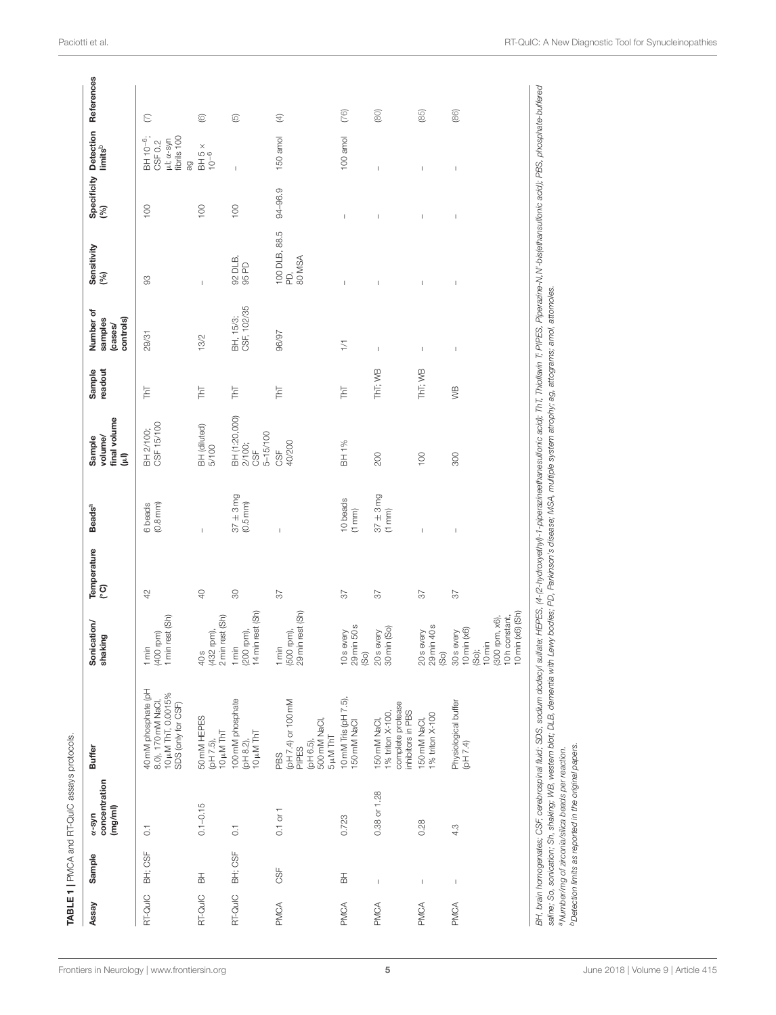<span id="page-4-0"></span>

| <b>RT-QuIC</b><br>Assay          |         |                                                    |                                                                                                                                                                                                                                                         |                                                                                                              |                   |                               |                                                                                                                                                                 |                     |                                              |                                |                    |                                                                                                                 |             |
|----------------------------------|---------|----------------------------------------------------|---------------------------------------------------------------------------------------------------------------------------------------------------------------------------------------------------------------------------------------------------------|--------------------------------------------------------------------------------------------------------------|-------------------|-------------------------------|-----------------------------------------------------------------------------------------------------------------------------------------------------------------|---------------------|----------------------------------------------|--------------------------------|--------------------|-----------------------------------------------------------------------------------------------------------------|-------------|
|                                  | Sample  | concentration<br>(mg/ml)<br>$\alpha$ -syn          | Buffer                                                                                                                                                                                                                                                  | Sonication/<br>shaking                                                                                       | Temperature<br>ု၀ | <b>Beads</b> <sup>a</sup>     | final volume<br>volume/<br>Sample<br>Ĵ                                                                                                                          | readout<br>Sample   | Number of<br>controls)<br>samples<br>(cases/ | Sensitivity<br>(%)             | Specificity<br>(%) | Detection<br>limits <sup>b</sup>                                                                                | References  |
|                                  | BH; CSF | $\overline{0}$ .                                   | 40 mM phosphate (pH<br>10 µM ThT, 0.0015%<br>8.0), 170 mM NaCl<br>SDS (only for CSF)                                                                                                                                                                    | min rest (Sh)<br>400 rpm)<br>min                                                                             | $42$              | 6 beads<br>$(0.8 \text{ mm})$ | CSF 15/100<br>BH 2/100;                                                                                                                                         | <b>TAT</b>          | 29/31                                        | 8                              | $\overline{100}$   | fibrils 100<br>BH 10 <sup>-6</sup> ;<br>$\mu$ l; $\alpha$ -syn<br>CSF 0.2<br>gg                                 | E           |
| 풂<br>RT-QuIC                     |         | $0.1 - 0.15$                                       | 50 mM HEPES<br>10 µM ThT<br>(pH 7.5),                                                                                                                                                                                                                   | 2 min rest (Sh)<br>432 rpm),<br>40 s                                                                         | 40                | I                             | BH (diluted)<br>5/100                                                                                                                                           | <b>TAT</b>          | 13/2                                         |                                | $\overline{100}$   | $\begin{array}{c}\n\mathsf{B} \mathsf{H} \, \mathsf{5} \, \times \\ \mathsf{I} \, \mathsf{O}^{-6}\n\end{array}$ | ©           |
| RT-QuIC                          | BH; CSF | $\overline{0}$                                     | 100 mM phosphate<br>10 µM ThT<br>(pH 8.2),                                                                                                                                                                                                              | 14 min rest (Sh)<br>200 rpm),<br>$1$ min                                                                     | $\overline{6}$    | $37 \pm 3mg$<br>$(0.5$ mm $)$ | BH (1:20,000)<br>$5 - 15/100$<br>2/100;<br>95                                                                                                                   | ThT                 | BH, 15/3;<br>CSF, 102/35                     | 92 DLB,<br>95 PD               | $\overline{100}$   |                                                                                                                 | 叵           |
| 55F<br>PMCA                      |         | $0.1$ or $1$                                       | (pH 7.4) or 100 mM<br>500 mM NaCl,<br>$5 \mu M$ ThT<br>(pH 6.5),<br>PIPES<br>PBS                                                                                                                                                                        | 29 min rest (Sh)<br>500 rpm),<br>$1 \text{min}$                                                              | 57                |                               | 40/200<br>9€                                                                                                                                                    | <b>TAT</b>          | 96/97                                        | 100 DLB, 88.5<br>PD,<br>80 MSA | 94-96.9            | 150 amol                                                                                                        | $\bigoplus$ |
| $\frac{1}{6}$<br>PMCA            |         | 0.723                                              | 10 mM Tris (pH 7.5),<br>150 mM NaCl                                                                                                                                                                                                                     | 29 min 50 s<br>10 <sub>s</sub> every<br>$\widehat{SO}$                                                       | $\sqrt{6}$        | 10 beads<br>(1 mm)            | BH 1%                                                                                                                                                           | $\overline{\Gamma}$ | $\overline{1/1}$                             |                                | $\overline{1}$     | 100 amol                                                                                                        | (76)        |
| $\mathsf I$<br>PMCA              |         | 0.38 or 1.28                                       | complete protease<br>inhibitors in PBS<br>1% triton X-100,<br>150 mM NaCl                                                                                                                                                                               | 30 min (So)<br>20s every                                                                                     | 57                | $37 \pm 3mg$<br>(1 mm)        | 200                                                                                                                                                             | ThT; WB             | $\overline{1}$                               |                                |                    |                                                                                                                 | (80)        |
| $\overline{\phantom{a}}$<br>PMCA |         | 0.28                                               | % triton X-100<br>150 mM NaCl                                                                                                                                                                                                                           | 29 min 40 s<br>20s every<br>So)                                                                              | 57                | I                             | 100                                                                                                                                                             | ThT; WB             | $\overline{1}$                               | I                              | I                  | I                                                                                                               | (85)        |
| $\overline{\phantom{a}}$<br>PMCA |         | 4.3                                                | Physiological buffer<br>(DH 7.4)                                                                                                                                                                                                                        | 10 min (x6) (Sh)<br>10h constant,<br>300 rpm, x6),<br>10 min (x6)<br>30 <sub>s</sub> every<br>10 min<br>So); | 57                | $\overline{1}$                | 300                                                                                                                                                             | УB                  | $\overline{1}$                               | $\overline{1}$                 | $\overline{1}$     | $\overline{1}$                                                                                                  | (86)        |
|                                  |         | a Number/mg of zirconia/silica beads per reaction. | saline; So, sonication; Sh, shaking; WB, western blot; DLB, dementia with Lewy bodies; PD, Parkinson's disease; MSA, multiple system atrophy; ag, attograms; amol, attomoles.<br>BH, brain homogenates; CSF, cerebrospinal fluid; SDS, sodium dodecyl ; |                                                                                                              |                   |                               | sulfate; HEPES, (4-(2-hydroxyethy)-1-piperazineethanesulfonic acid); ThT, Thioflavin T; PIPES, Piperazine-N,N'-bis(ethansulfonic acid); PBS, phosphate-buffered |                     |                                              |                                |                    |                                                                                                                 |             |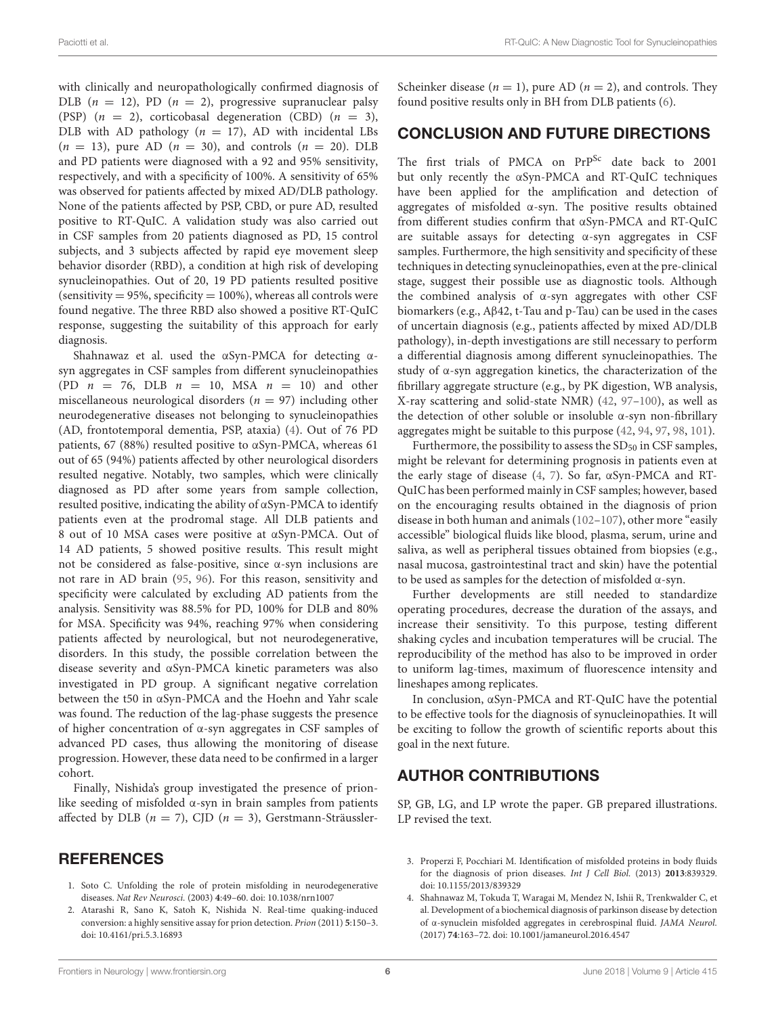with clinically and neuropathologically confirmed diagnosis of DLB  $(n = 12)$ , PD  $(n = 2)$ , progressive supranuclear palsy (PSP)  $(n = 2)$ , corticobasal degeneration (CBD)  $(n = 3)$ , DLB with AD pathology ( $n = 17$ ), AD with incidental LBs  $(n = 13)$ , pure AD  $(n = 30)$ , and controls  $(n = 20)$ . DLB and PD patients were diagnosed with a 92 and 95% sensitivity, respectively, and with a specificity of 100%. A sensitivity of 65% was observed for patients affected by mixed AD/DLB pathology. None of the patients affected by PSP, CBD, or pure AD, resulted positive to RT-QuIC. A validation study was also carried out in CSF samples from 20 patients diagnosed as PD, 15 control subjects, and 3 subjects affected by rapid eye movement sleep behavior disorder (RBD), a condition at high risk of developing synucleinopathies. Out of 20, 19 PD patients resulted positive (sensitivity  $= 95\%$ , specificity  $= 100\%$ ), whereas all controls were found negative. The three RBD also showed a positive RT-QuIC response, suggesting the suitability of this approach for early diagnosis.

Shahnawaz et al. used the αSyn-PMCA for detecting αsyn aggregates in CSF samples from different synucleinopathies (PD  $n = 76$ , DLB  $n = 10$ , MSA  $n = 10$ ) and other miscellaneous neurological disorders ( $n = 97$ ) including other neurodegenerative diseases not belonging to synucleinopathies (AD, frontotemporal dementia, PSP, ataxia) [\(4\)](#page-5-2). Out of 76 PD patients, 67 (88%) resulted positive to αSyn-PMCA, whereas 61 out of 65 (94%) patients affected by other neurological disorders resulted negative. Notably, two samples, which were clinically diagnosed as PD after some years from sample collection, resulted positive, indicating the ability of αSyn-PMCA to identify patients even at the prodromal stage. All DLB patients and 8 out of 10 MSA cases were positive at αSyn-PMCA. Out of 14 AD patients, 5 showed positive results. This result might not be considered as false-positive, since α-syn inclusions are not rare in AD brain [\(95,](#page-8-10) [96\)](#page-8-11). For this reason, sensitivity and specificity were calculated by excluding AD patients from the analysis. Sensitivity was 88.5% for PD, 100% for DLB and 80% for MSA. Specificity was 94%, reaching 97% when considering patients affected by neurological, but not neurodegenerative, disorders. In this study, the possible correlation between the disease severity and αSyn-PMCA kinetic parameters was also investigated in PD group. A significant negative correlation between the t50 in αSyn-PMCA and the Hoehn and Yahr scale was found. The reduction of the lag-phase suggests the presence of higher concentration of α-syn aggregates in CSF samples of advanced PD cases, thus allowing the monitoring of disease progression. However, these data need to be confirmed in a larger cohort.

Finally, Nishida's group investigated the presence of prionlike seeding of misfolded  $α$ -syn in brain samples from patients affected by DLB ( $n = 7$ ), CJD ( $n = 3$ ), Gerstmann-Sträussler-

#### **REFERENCES**

- <span id="page-5-0"></span>1. Soto C. Unfolding the role of protein misfolding in neurodegenerative diseases. Nat Rev Neurosci. (2003) **4**:49–60. doi: [10.1038/nrn1007](https://doi.org/10.1038/nrn1007)
- <span id="page-5-3"></span>2. Atarashi R, Sano K, Satoh K, Nishida N. Real-time quaking-induced conversion: a highly sensitive assay for prion detection. Prion (2011) **5**:150–3. doi: [10.4161/pri.5.3.16893](https://doi.org/10.4161/pri.5.3.16893)

Scheinker disease ( $n = 1$ ), pure AD ( $n = 2$ ), and controls. They found positive results only in BH from DLB patients [\(6\)](#page-6-30).

# CONCLUSION AND FUTURE DIRECTIONS

The first trials of PMCA on PrP<sup>Sc</sup> date back to 2001 but only recently the αSyn-PMCA and RT-QuIC techniques have been applied for the amplification and detection of aggregates of misfolded α-syn. The positive results obtained from different studies confirm that αSyn-PMCA and RT-QuIC are suitable assays for detecting α-syn aggregates in CSF samples. Furthermore, the high sensitivity and specificity of these techniques in detecting synucleinopathies, even at the pre-clinical stage, suggest their possible use as diagnostic tools. Although the combined analysis of α-syn aggregates with other CSF biomarkers (e.g., Aβ42, t-Tau and p-Tau) can be used in the cases of uncertain diagnosis (e.g., patients affected by mixed AD/DLB pathology), in-depth investigations are still necessary to perform a differential diagnosis among different synucleinopathies. The study of α-syn aggregation kinetics, the characterization of the fibrillary aggregate structure (e.g., by PK digestion, WB analysis, X-ray scattering and solid-state NMR) [\(42,](#page-6-29) [97–](#page-8-12)[100\)](#page-8-13), as well as the detection of other soluble or insoluble α-syn non-fibrillary aggregates might be suitable to this purpose [\(42,](#page-6-29) [94,](#page-8-9) [97,](#page-8-12) [98,](#page-8-14) [101\)](#page-8-15).

Furthermore, the possibility to assess the  $SD_{50}$  in CSF samples, might be relevant for determining prognosis in patients even at the early stage of disease [\(4,](#page-5-2) [7\)](#page-6-1). So far, αSyn-PMCA and RT-QuIC has been performed mainly in CSF samples; however, based on the encouraging results obtained in the diagnosis of prion disease in both human and animals [\(102–](#page-8-16)[107\)](#page-8-17), other more "easily accessible" biological fluids like blood, plasma, serum, urine and saliva, as well as peripheral tissues obtained from biopsies (e.g., nasal mucosa, gastrointestinal tract and skin) have the potential to be used as samples for the detection of misfolded  $\alpha$ -syn.

Further developments are still needed to standardize operating procedures, decrease the duration of the assays, and increase their sensitivity. To this purpose, testing different shaking cycles and incubation temperatures will be crucial. The reproducibility of the method has also to be improved in order to uniform lag-times, maximum of fluorescence intensity and lineshapes among replicates.

In conclusion, αSyn-PMCA and RT-QuIC have the potential to be effective tools for the diagnosis of synucleinopathies. It will be exciting to follow the growth of scientific reports about this goal in the next future.

# AUTHOR CONTRIBUTIONS

SP, GB, LG, and LP wrote the paper. GB prepared illustrations. LP revised the text.

- <span id="page-5-1"></span>3. Properzi F, Pocchiari M. Identification of misfolded proteins in body fluids for the diagnosis of prion diseases. Int J Cell Biol. (2013) **2013**:839329. doi: [10.1155/2013/839329](https://doi.org/10.1155/2013/839329)
- <span id="page-5-2"></span>4. Shahnawaz M, Tokuda T, Waragai M, Mendez N, Ishii R, Trenkwalder C, et al. Development of a biochemical diagnosis of parkinson disease by detection of α-synuclein misfolded aggregates in cerebrospinal fluid. JAMA Neurol. (2017) **74**:163–72. doi: [10.1001/jamaneurol.2016.4547](https://doi.org/10.1001/jamaneurol.2016.4547)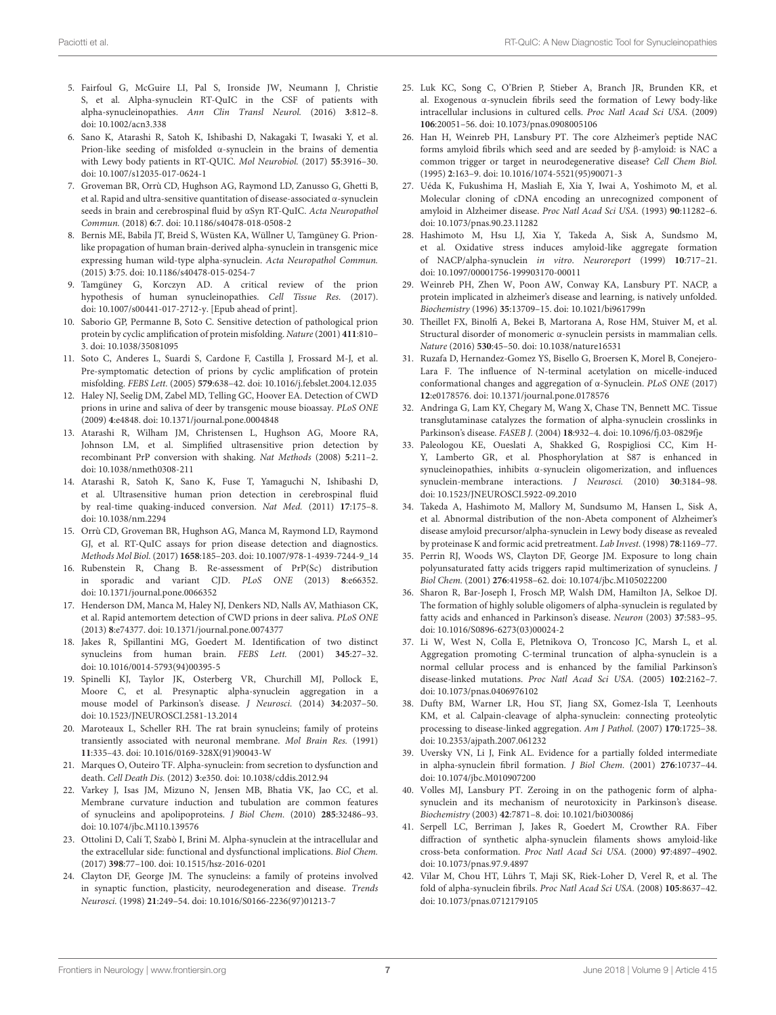- <span id="page-6-9"></span>5. Fairfoul G, McGuire LI, Pal S, Ironside JW, Neumann J, Christie S, et al. Alpha-synuclein RT-QuIC in the CSF of patients with alpha-synucleinopathies. Ann Clin Transl Neurol. (2016) **3**:812–8. doi: [10.1002/acn3.338](https://doi.org/10.1002/acn3.338)
- <span id="page-6-30"></span>6. Sano K, Atarashi R, Satoh K, Ishibashi D, Nakagaki T, Iwasaki Y, et al. Prion-like seeding of misfolded α-synuclein in the brains of dementia with Lewy body patients in RT-QUIC. Mol Neurobiol. (2017) **55**:3916–30. doi: [10.1007/s12035-017-0624-1](https://doi.org/10.1007/s12035-017-0624-1)
- <span id="page-6-1"></span>7. Groveman BR, Orrù CD, Hughson AG, Raymond LD, Zanusso G, Ghetti B, et al. Rapid and ultra-sensitive quantitation of disease-associated α-synuclein seeds in brain and cerebrospinal fluid by αSyn RT-QuIC. Acta Neuropathol Commun. (2018) **6**:7. doi: [10.1186/s40478-018-0508-2](https://doi.org/10.1186/s40478-018-0508-2)
- 8. Bernis ME, Babila JT, Breid S, Wüsten KA, Wüllner U, Tamgüney G. Prionlike propagation of human brain-derived alpha-synuclein in transgenic mice expressing human wild-type alpha-synuclein. Acta Neuropathol Commun. (2015) **3**:75. doi: [10.1186/s40478-015-0254-7](https://doi.org/10.1186/s40478-015-0254-7)
- <span id="page-6-0"></span>9. Tamgüney G, Korczyn AD. A critical review of the prion hypothesis of human synucleinopathies. Cell Tissue Res. (2017). doi: [10.1007/s00441-017-2712-y.](https://doi.org/10.1007/s00441-017-2712-y) [Epub ahead of print].
- <span id="page-6-2"></span>10. Saborio GP, Permanne B, Soto C. Sensitive detection of pathological prion protein by cyclic amplification of protein misfolding. Nature (2001) **411**:810– 3. doi: [10.1038/35081095](https://doi.org/10.1038/35081095)
- <span id="page-6-3"></span>11. Soto C, Anderes L, Suardi S, Cardone F, Castilla J, Frossard M-J, et al. Pre-symptomatic detection of prions by cyclic amplification of protein misfolding. FEBS Lett. (2005) **579**:638–42. doi: [10.1016/j.febslet.2004.12.035](https://doi.org/10.1016/j.febslet.2004.12.035)
- <span id="page-6-4"></span>12. Haley NJ, Seelig DM, Zabel MD, Telling GC, Hoover EA. Detection of CWD prions in urine and saliva of deer by transgenic mouse bioassay. PLoS ONE (2009) **4**:e4848. doi: [10.1371/journal.pone.0004848](https://doi.org/10.1371/journal.pone.0004848)
- <span id="page-6-5"></span>13. Atarashi R, Wilham JM, Christensen L, Hughson AG, Moore RA, Johnson LM, et al. Simplified ultrasensitive prion detection by recombinant PrP conversion with shaking. Nat Methods (2008) **5**:211–2. doi: [10.1038/nmeth0308-211](https://doi.org/10.1038/nmeth0308-211)
- <span id="page-6-6"></span>14. Atarashi R, Satoh K, Sano K, Fuse T, Yamaguchi N, Ishibashi D, et al. Ultrasensitive human prion detection in cerebrospinal fluid by real-time quaking-induced conversion. Nat Med. (2011) **17**:175–8. doi: [10.1038/nm.2294](https://doi.org/10.1038/nm.2294)
- <span id="page-6-7"></span>15. Orrù CD, Groveman BR, Hughson AG, Manca M, Raymond LD, Raymond GJ, et al. RT-QuIC assays for prion disease detection and diagnostics. Methods Mol Biol. (2017) **1658**:185–203. doi: [10.1007/978-1-4939-7244-9\\_14](https://doi.org/10.1007/978-1-4939-7244-9_14)
- 16. Rubenstein R, Chang B. Re-assessment of PrP(Sc) distribution in sporadic and variant CJD. PLoS ONE (2013) **8**:e66352. doi: [10.1371/journal.pone.0066352](https://doi.org/10.1371/journal.pone.0066352)
- <span id="page-6-8"></span>17. Henderson DM, Manca M, Haley NJ, Denkers ND, Nalls AV, Mathiason CK, et al. Rapid antemortem detection of CWD prions in deer saliva. PLoS ONE (2013) **8**:e74377. doi: [10.1371/journal.pone.0074377](https://doi.org/10.1371/journal.pone.0074377)
- <span id="page-6-10"></span>18. Jakes R, Spillantini MG, Goedert M. Identification of two distinct synucleins from human brain. FEBS Lett. (2001) **345**:27–32. doi: [10.1016/0014-5793\(94\)00395-5](https://doi.org/10.1016/0014-5793(94)00395-5)
- <span id="page-6-11"></span>19. Spinelli KJ, Taylor JK, Osterberg VR, Churchill MJ, Pollock E, Moore C, et al. Presynaptic alpha-synuclein aggregation in a mouse model of Parkinson's disease. J Neurosci. (2014) **34**:2037–50. doi: [10.1523/JNEUROSCI.2581-13.2014](https://doi.org/10.1523/JNEUROSCI.2581-13.2014)
- <span id="page-6-12"></span>20. Maroteaux L, Scheller RH. The rat brain synucleins; family of proteins transiently associated with neuronal membrane. Mol Brain Res. (1991) **11**:335–43. doi: [10.1016/0169-328X\(91\)90043-W](https://doi.org/10.1016/0169-328X(91)90043-W)
- 21. Marques O, Outeiro TF. Alpha-synuclein: from secretion to dysfunction and death. Cell Death Dis. (2012) **3**:e350. doi: [10.1038/cddis.2012.94](https://doi.org/10.1038/cddis.2012.94)
- 22. Varkey J, Isas JM, Mizuno N, Jensen MB, Bhatia VK, Jao CC, et al. Membrane curvature induction and tubulation are common features of synucleins and apolipoproteins. J Biol Chem. (2010) **285**:32486–93. doi: [10.1074/jbc.M110.139576](https://doi.org/10.1074/jbc.M110.139576)
- <span id="page-6-13"></span>23. Ottolini D, Calí T, Szabò I, Brini M. Alpha-synuclein at the intracellular and the extracellular side: functional and dysfunctional implications. Biol Chem. (2017) **398**:77–100. doi: [10.1515/hsz-2016-0201](https://doi.org/10.1515/hsz-2016-0201)
- <span id="page-6-14"></span>24. Clayton DF, George JM. The synucleins: a family of proteins involved in synaptic function, plasticity, neurodegeneration and disease. Trends Neurosci. (1998) **21**:249–54. doi: [10.1016/S0166-2236\(97\)01213-7](https://doi.org/10.1016/S0166-2236(97)01213-7)
- <span id="page-6-15"></span>25. Luk KC, Song C, O'Brien P, Stieber A, Branch JR, Brunden KR, et al. Exogenous α-synuclein fibrils seed the formation of Lewy body-like intracellular inclusions in cultured cells. Proc Natl Acad Sci USA. (2009) **106**:20051–56. doi: [10.1073/pnas.0908005106](https://doi.org/10.1073/pnas.0908005106)
- 26. Han H, Weinreb PH, Lansbury PT. The core Alzheimer's peptide NAC forms amyloid fibrils which seed and are seeded by β-amyloid: is NAC a common trigger or target in neurodegenerative disease? Cell Chem Biol. (1995) **2**:163–9. doi: [10.1016/1074-5521\(95\)90071-3](https://doi.org/10.1016/1074-5521(95)90071-3)
- <span id="page-6-16"></span>27. Uéda K, Fukushima H, Masliah E, Xia Y, Iwai A, Yoshimoto M, et al. Molecular cloning of cDNA encoding an unrecognized component of amyloid in Alzheimer disease. Proc Natl Acad Sci USA. (1993) **90**:11282–6. doi: [10.1073/pnas.90.23.11282](https://doi.org/10.1073/pnas.90.23.11282)
- <span id="page-6-17"></span>28. Hashimoto M, Hsu LJ, Xia Y, Takeda A, Sisk A, Sundsmo M, et al. Oxidative stress induces amyloid-like aggregate formation of NACP/alpha-synuclein in vitro. Neuroreport (1999) **10**:717–21. doi: [10.1097/00001756-199903170-00011](https://doi.org/10.1097/00001756-199903170-00011)
- <span id="page-6-25"></span>29. Weinreb PH, Zhen W, Poon AW, Conway KA, Lansbury PT. NACP, a protein implicated in alzheimer's disease and learning, is natively unfolded. Biochemistry (1996) **35**:13709–15. doi: [10.1021/bi961799n](https://doi.org/10.1021/bi961799n)
- <span id="page-6-18"></span>30. Theillet FX, Binolfi A, Bekei B, Martorana A, Rose HM, Stuiver M, et al. Structural disorder of monomeric α-synuclein persists in mammalian cells. Nature (2016) **530**:45–50. doi: [10.1038/nature16531](https://doi.org/10.1038/nature16531)
- <span id="page-6-19"></span>31. Ruzafa D, Hernandez-Gomez YS, Bisello G, Broersen K, Morel B, Conejero-Lara F. The influence of N-terminal acetylation on micelle-induced conformational changes and aggregation of α-Synuclein. PLoS ONE (2017) **12**:e0178576. doi: [10.1371/journal.pone.0178576](https://doi.org/10.1371/journal.pone.0178576)
- 32. Andringa G, Lam KY, Chegary M, Wang X, Chase TN, Bennett MC. Tissue transglutaminase catalyzes the formation of alpha-synuclein crosslinks in Parkinson's disease. FASEB J. (2004) **18**:932–4. doi: [10.1096/fj.03-0829fje](https://doi.org/10.1096/fj.03-0829fje)
- <span id="page-6-20"></span>33. Paleologou KE, Oueslati A, Shakked G, Rospigliosi CC, Kim H-Y, Lamberto GR, et al. Phosphorylation at S87 is enhanced in synucleinopathies, inhibits α-synuclein oligomerization, and influences synuclein-membrane interactions. J Neurosci. (2010) **30**:3184–98. doi: [10.1523/JNEUROSCI.5922-09.2010](https://doi.org/10.1523/JNEUROSCI.5922-09.2010)
- <span id="page-6-21"></span>34. Takeda A, Hashimoto M, Mallory M, Sundsumo M, Hansen L, Sisk A, et al. Abnormal distribution of the non-Abeta component of Alzheimer's disease amyloid precursor/alpha-synuclein in Lewy body disease as revealed by proteinase K and formic acid pretreatment. Lab Invest. (1998) **78**:1169–77.
- 35. Perrin RJ, Woods WS, Clayton DF, George JM. Exposure to long chain polyunsaturated fatty acids triggers rapid multimerization of synucleins. J Biol Chem. (2001) **276**:41958–62. doi: [10.1074/jbc.M105022200](https://doi.org/10.1074/jbc.M105022200)
- <span id="page-6-22"></span>36. Sharon R, Bar-Joseph I, Frosch MP, Walsh DM, Hamilton JA, Selkoe DJ. The formation of highly soluble oligomers of alpha-synuclein is regulated by fatty acids and enhanced in Parkinson's disease. Neuron (2003) **37**:583–95. doi: [10.1016/S0896-6273\(03\)00024-2](https://doi.org/10.1016/S0896-6273(03)00024-2)
- <span id="page-6-23"></span>37. Li W, West N, Colla E, Pletnikova O, Troncoso JC, Marsh L, et al. Aggregation promoting C-terminal truncation of alpha-synuclein is a normal cellular process and is enhanced by the familial Parkinson's disease-linked mutations. Proc Natl Acad Sci USA. (2005) **102**:2162–7. doi: [10.1073/pnas.0406976102](https://doi.org/10.1073/pnas.0406976102)
- <span id="page-6-24"></span>38. Dufty BM, Warner LR, Hou ST, Jiang SX, Gomez-Isla T, Leenhouts KM, et al. Calpain-cleavage of alpha-synuclein: connecting proteolytic processing to disease-linked aggregation. Am J Pathol. (2007) **170**:1725–38. doi: [10.2353/ajpath.2007.061232](https://doi.org/10.2353/ajpath.2007.061232)
- <span id="page-6-26"></span>39. Uversky VN, Li J, Fink AL. Evidence for a partially folded intermediate in alpha-synuclein fibril formation. J Biol Chem. (2001) **276**:10737–44. doi: [10.1074/jbc.M010907200](https://doi.org/10.1074/jbc.M010907200)
- <span id="page-6-27"></span>40. Volles MJ, Lansbury PT. Zeroing in on the pathogenic form of alphasynuclein and its mechanism of neurotoxicity in Parkinson's disease. Biochemistry (2003) **42**:7871–8. doi: [10.1021/bi030086j](https://doi.org/10.1021/bi030086j)
- <span id="page-6-28"></span>41. Serpell LC, Berriman J, Jakes R, Goedert M, Crowther RA. Fiber diffraction of synthetic alpha-synuclein filaments shows amyloid-like cross-beta conformation. Proc Natl Acad Sci USA. (2000) **97**:4897–4902. doi: [10.1073/pnas.97.9.4897](https://doi.org/10.1073/pnas.97.9.4897)
- <span id="page-6-29"></span>42. Vilar M, Chou HT, Lührs T, Maji SK, Riek-Loher D, Verel R, et al. The fold of alpha-synuclein fibrils. Proc Natl Acad Sci USA. (2008) **105**:8637–42. doi: [10.1073/pnas.0712179105](https://doi.org/10.1073/pnas.0712179105)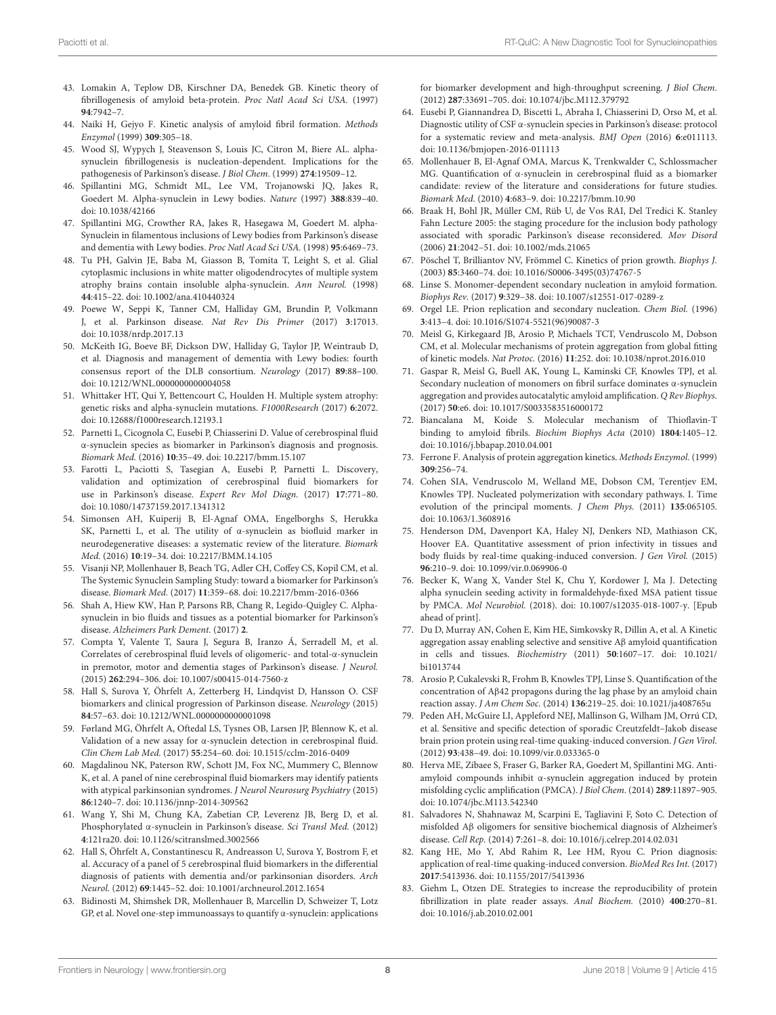- <span id="page-7-0"></span>43. Lomakin A, Teplow DB, Kirschner DA, Benedek GB. Kinetic theory of fibrillogenesis of amyloid beta-protein. Proc Natl Acad Sci USA. (1997) **94**:7942–7.
- <span id="page-7-1"></span>44. Naiki H, Gejyo F. Kinetic analysis of amyloid fibril formation. Methods Enzymol (1999) **309**:305–18.
- <span id="page-7-2"></span>45. Wood SJ, Wypych J, Steavenson S, Louis JC, Citron M, Biere AL. alphasynuclein fibrillogenesis is nucleation-dependent. Implications for the pathogenesis of Parkinson's disease. J Biol Chem. (1999) **274**:19509–12.
- <span id="page-7-3"></span>46. Spillantini MG, Schmidt ML, Lee VM, Trojanowski JQ, Jakes R, Goedert M. Alpha-synuclein in Lewy bodies. Nature (1997) **388**:839–40. doi: [10.1038/42166](https://doi.org/10.1038/42166)
- <span id="page-7-8"></span>47. Spillantini MG, Crowther RA, Jakes R, Hasegawa M, Goedert M. alpha-Synuclein in filamentous inclusions of Lewy bodies from Parkinson's disease and dementia with Lewy bodies. Proc Natl Acad Sci USA. (1998) **95**:6469–73.
- <span id="page-7-4"></span>48. Tu PH, Galvin JE, Baba M, Giasson B, Tomita T, Leight S, et al. Glial cytoplasmic inclusions in white matter oligodendrocytes of multiple system atrophy brains contain insoluble alpha-synuclein. Ann Neurol. (1998) **44**:415–22. doi: [10.1002/ana.410440324](https://doi.org/10.1002/ana.410440324)
- <span id="page-7-5"></span>49. Poewe W, Seppi K, Tanner CM, Halliday GM, Brundin P, Volkmann J, et al. Parkinson disease. Nat Rev Dis Primer (2017) **3**:17013. doi: [10.1038/nrdp.2017.13](https://doi.org/10.1038/nrdp.2017.13)
- <span id="page-7-6"></span>50. McKeith IG, Boeve BF, Dickson DW, Halliday G, Taylor JP, Weintraub D, et al. Diagnosis and management of dementia with Lewy bodies: fourth consensus report of the DLB consortium. Neurology (2017) **89**:88–100. doi: [10.1212/WNL.0000000000004058](https://doi.org/10.1212/WNL.0000000000004058)
- <span id="page-7-7"></span>51. Whittaker HT, Qui Y, Bettencourt C, Houlden H. Multiple system atrophy: genetic risks and alpha-synuclein mutations. F1000Research (2017) **6**:2072. doi: [10.12688/f1000research.12193.1](https://doi.org/10.12688/f1000research.12193.1)
- <span id="page-7-9"></span>52. Parnetti L, Cicognola C, Eusebi P, Chiasserini D. Value of cerebrospinal fluid α-synuclein species as biomarker in Parkinson's diagnosis and prognosis. Biomark Med. (2016) **10**:35–49. doi: [10.2217/bmm.15.107](https://doi.org/10.2217/bmm.15.107)
- 53. Farotti L, Paciotti S, Tasegian A, Eusebi P, Parnetti L. Discovery, validation and optimization of cerebrospinal fluid biomarkers for use in Parkinson's disease. Expert Rev Mol Diagn. (2017) **17**:771–80. doi: [10.1080/14737159.2017.1341312](https://doi.org/10.1080/14737159.2017.1341312)
- 54. Simonsen AH, Kuiperij B, El-Agnaf OMA, Engelborghs S, Herukka SK, Parnetti L, et al. The utility of α-synuclein as biofluid marker in neurodegenerative diseases: a systematic review of the literature. Biomark Med. (2016) **10**:19–34. doi: [10.2217/BMM.14.105](https://doi.org/10.2217/BMM.14.105)
- 55. Visanji NP, Mollenhauer B, Beach TG, Adler CH, Coffey CS, Kopil CM, et al. The Systemic Synuclein Sampling Study: toward a biomarker for Parkinson's disease. Biomark Med. (2017) **11**:359–68. doi: [10.2217/bmm-2016-0366](https://doi.org/10.2217/bmm-2016-0366)
- <span id="page-7-10"></span>56. Shah A, Hiew KW, Han P, Parsons RB, Chang R, Legido-Quigley C. Alphasynuclein in bio fluids and tissues as a potential biomarker for Parkinson's disease. Alzheimers Park Dement. (2017) **2**.
- <span id="page-7-11"></span>57. Compta Y, Valente T, Saura J, Segura B, Iranzo Á, Serradell M, et al. Correlates of cerebrospinal fluid levels of oligomeric- and total-α-synuclein in premotor, motor and dementia stages of Parkinson's disease. J Neurol. (2015) **262**:294–306. doi: [10.1007/s00415-014-7560-z](https://doi.org/10.1007/s00415-014-7560-z)
- 58. Hall S, Surova Y, Öhrfelt A, Zetterberg H, Lindqvist D, Hansson O. CSF biomarkers and clinical progression of Parkinson disease. Neurology (2015) **84**:57–63. doi: [10.1212/WNL.0000000000001098](https://doi.org/10.1212/WNL.0000000000001098)
- 59. Førland MG, Öhrfelt A, Oftedal LS, Tysnes OB, Larsen JP, Blennow K, et al. Validation of a new assay for α-synuclein detection in cerebrospinal fluid. Clin Chem Lab Med. (2017) **55**:254–60. doi: [10.1515/cclm-2016-0409](https://doi.org/10.1515/cclm-2016-0409)
- <span id="page-7-12"></span>60. Magdalinou NK, Paterson RW, Schott JM, Fox NC, Mummery C, Blennow K, et al. A panel of nine cerebrospinal fluid biomarkers may identify patients with atypical parkinsonian syndromes. J Neurol Neurosurg Psychiatry (2015) **86**:1240–7. doi: [10.1136/jnnp-2014-309562](https://doi.org/10.1136/jnnp-2014-309562)
- <span id="page-7-13"></span>61. Wang Y, Shi M, Chung KA, Zabetian CP, Leverenz JB, Berg D, et al. Phosphorylated α-synuclein in Parkinson's disease. Sci Transl Med. (2012) **4**:121ra20. doi: [10.1126/scitranslmed.3002566](https://doi.org/10.1126/scitranslmed.3002566)
- <span id="page-7-14"></span>62. Hall S, Öhrfelt A, Constantinescu R, Andreasson U, Surova Y, Bostrom F, et al. Accuracy of a panel of 5 cerebrospinal fluid biomarkers in the differential diagnosis of patients with dementia and/or parkinsonian disorders. Arch Neurol. (2012) **69**:1445–52. doi: [10.1001/archneurol.2012.1654](https://doi.org/10.1001/archneurol.2012.1654)
- <span id="page-7-15"></span>63. Bidinosti M, Shimshek DR, Mollenhauer B, Marcellin D, Schweizer T, Lotz GP, et al. Novel one-step immunoassays to quantify α-synuclein: applications

for biomarker development and high-throughput screening. J Biol Chem. (2012) **287**:33691–705. doi: [10.1074/jbc.M112.379792](https://doi.org/10.1074/jbc.M112.379792)

- <span id="page-7-16"></span>64. Eusebi P, Giannandrea D, Biscetti L, Abraha I, Chiasserini D, Orso M, et al. Diagnostic utility of CSF α-synuclein species in Parkinson's disease: protocol for a systematic review and meta-analysis. BMJ Open (2016) **6**:e011113. doi: [10.1136/bmjopen-2016-011113](https://doi.org/10.1136/bmjopen-2016-011113)
- <span id="page-7-17"></span>65. Mollenhauer B, El-Agnaf OMA, Marcus K, Trenkwalder C, Schlossmacher MG. Quantification of α-synuclein in cerebrospinal fluid as a biomarker candidate: review of the literature and considerations for future studies. Biomark Med. (2010) **4**:683–9. doi: [10.2217/bmm.10.90](https://doi.org/10.2217/bmm.10.90)
- <span id="page-7-18"></span>66. Braak H, Bohl JR, Müller CM, Rüb U, de Vos RAI, Del Tredici K. Stanley Fahn Lecture 2005: the staging procedure for the inclusion body pathology associated with sporadic Parkinson's disease reconsidered. Mov Disord (2006) **21**:2042–51. doi: [10.1002/mds.21065](https://doi.org/10.1002/mds.21065)
- <span id="page-7-19"></span>67. Pöschel T, Brilliantov NV, Frömmel C. Kinetics of prion growth. Biophys J. (2003) **85**:3460–74. doi: [10.1016/S0006-3495\(03\)74767-5](https://doi.org/10.1016/S0006-3495(03)74767-5)
- <span id="page-7-20"></span>68. Linse S. Monomer-dependent secondary nucleation in amyloid formation. Biophys Rev. (2017) **9**:329–38. doi: [10.1007/s12551-017-0289-z](https://doi.org/10.1007/s12551-017-0289-z)
- <span id="page-7-21"></span>69. Orgel LE. Prion replication and secondary nucleation. Chem Biol. (1996) **3**:413–4. doi: [10.1016/S1074-5521\(96\)90087-3](https://doi.org/10.1016/S1074-5521(96)90087-3)
- <span id="page-7-22"></span>70. Meisl G, Kirkegaard JB, Arosio P, Michaels TCT, Vendruscolo M, Dobson CM, et al. Molecular mechanisms of protein aggregation from global fitting of kinetic models. Nat Protoc. (2016) **11**:252. doi: [10.1038/nprot.2016.010](https://doi.org/10.1038/nprot.2016.010)
- <span id="page-7-23"></span>71. Gaspar R, Meisl G, Buell AK, Young L, Kaminski CF, Knowles TPJ, et al. Secondary nucleation of monomers on fibril surface dominates α-synuclein aggregation and provides autocatalytic amyloid amplification. Q Rev Biophys. (2017) **50**:e6. doi: [10.1017/S0033583516000172](https://doi.org/10.1017/S0033583516000172)
- <span id="page-7-24"></span>72. Biancalana M, Koide S. Molecular mechanism of Thioflavin-T binding to amyloid fibrils. Biochim Biophys Acta (2010) **1804**:1405–12. doi: [10.1016/j.bbapap.2010.04.001](https://doi.org/10.1016/j.bbapap.2010.04.001)
- <span id="page-7-25"></span>73. Ferrone F. Analysis of protein aggregation kinetics. Methods Enzymol. (1999) **309**:256–74.
- <span id="page-7-26"></span>74. Cohen SIA, Vendruscolo M, Welland ME, Dobson CM, Terentjev EM, Knowles TPJ. Nucleated polymerization with secondary pathways. I. Time evolution of the principal moments. J Chem Phys. (2011) **135**:065105. doi: [10.1063/1.3608916](https://doi.org/10.1063/1.3608916)
- <span id="page-7-27"></span>75. Henderson DM, Davenport KA, Haley NJ, Denkers ND, Mathiason CK, Hoover EA. Quantitative assessment of prion infectivity in tissues and body fluids by real-time quaking-induced conversion. J Gen Virol. (2015) **96**:210–9. doi: [10.1099/vir.0.069906-0](https://doi.org/10.1099/vir.0.069906-0)
- <span id="page-7-28"></span>76. Becker K, Wang X, Vander Stel K, Chu Y, Kordower J, Ma J. Detecting alpha synuclein seeding activity in formaldehyde-fixed MSA patient tissue by PMCA. Mol Neurobiol. (2018). doi: [10.1007/s12035-018-1007-y.](https://doi.org/10.1007/s12035-018-1007-y) [Epub ahead of print].
- <span id="page-7-29"></span>77. Du D, Murray AN, Cohen E, Kim HE, Simkovsky R, Dillin A, et al. A Kinetic aggregation assay enabling selective and sensitive Aβ amyloid quantification in cells and tissues. Biochemistry (2011) **50**[:1607–17. doi: 10.1021/](https://doi.org/10.1021/bi1013744) bi1013744
- <span id="page-7-30"></span>78. Arosio P, Cukalevski R, Frohm B, Knowles TPJ, Linse S. Quantification of the concentration of Aβ42 propagons during the lag phase by an amyloid chain reaction assay. J Am Chem Soc. (2014) **136**:219–25. doi: [10.1021/ja408765u](https://doi.org/10.1021/ja408765u)
- <span id="page-7-31"></span>79. Peden AH, McGuire LI, Appleford NEJ, Mallinson G, Wilham JM, Orrú CD, et al. Sensitive and specific detection of sporadic Creutzfeldt–Jakob disease brain prion protein using real-time quaking-induced conversion. J Gen Virol. (2012) **93**:438–49. doi: [10.1099/vir.0.033365-0](https://doi.org/10.1099/vir.0.033365-0)
- <span id="page-7-32"></span>80. Herva ME, Zibaee S, Fraser G, Barker RA, Goedert M, Spillantini MG. Antiamyloid compounds inhibit α-synuclein aggregation induced by protein misfolding cyclic amplification (PMCA). J Biol Chem. (2014) **289**:11897–905. doi: [10.1074/jbc.M113.542340](https://doi.org/10.1074/jbc.M113.542340)
- <span id="page-7-33"></span>81. Salvadores N, Shahnawaz M, Scarpini E, Tagliavini F, Soto C. Detection of misfolded Aβ oligomers for sensitive biochemical diagnosis of Alzheimer's disease. Cell Rep. (2014) **7**:261–8. doi: [10.1016/j.celrep.2014.02.031](https://doi.org/10.1016/j.celrep.2014.02.031)
- <span id="page-7-34"></span>82. Kang HE, Mo Y, Abd Rahim R, Lee HM, Ryou C. Prion diagnosis: application of real-time quaking-induced conversion. BioMed Res Int. (2017) **2017**:5413936. doi: [10.1155/2017/5413936](https://doi.org/10.1155/2017/5413936)
- <span id="page-7-35"></span>83. Giehm L, Otzen DE. Strategies to increase the reproducibility of protein fibrillization in plate reader assays. Anal Biochem. (2010) **400**:270–81. doi: [10.1016/j.ab.2010.02.001](https://doi.org/10.1016/j.ab.2010.02.001)